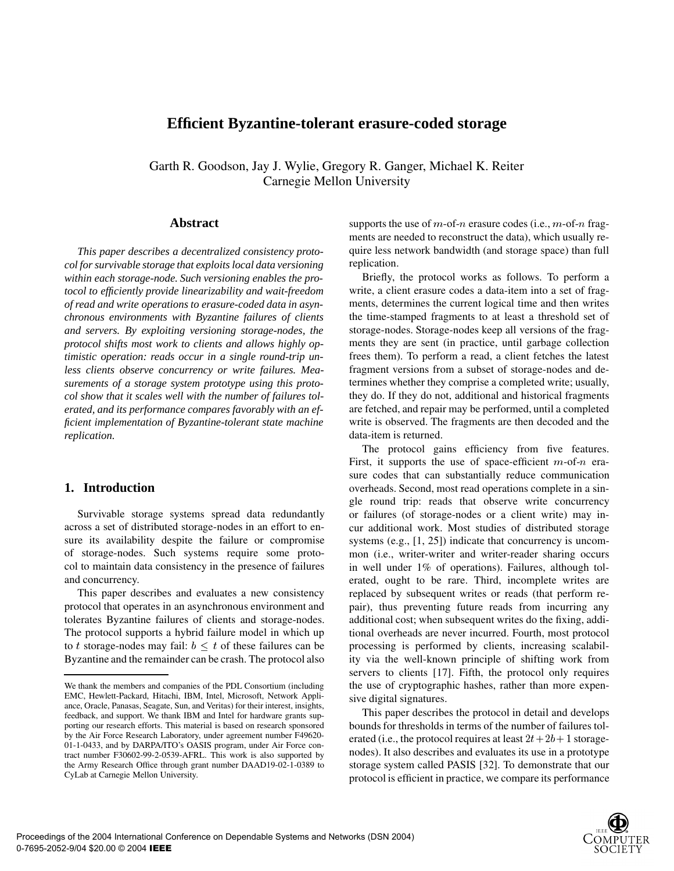# **Efficient Byzantine-tolerant erasure-coded storage**

Garth R. Goodson, Jay J. Wylie, Gregory R. Ganger, Michael K. Reiter Carnegie Mellon University

### **Abstract**

*This paper describes a decentralized consistency protocol for survivable storage that exploits local data versioning within each storage-node. Such versioning enables the protocol to efficiently provide linearizability and wait-freedom of read and write operations to erasure-coded data in asynchronous environments with Byzantine failures of clients and servers. By exploiting versioning storage-nodes, the protocol shifts most work to clients and allows highly optimistic operation: reads occur in a single round-trip unless clients observe concurrency or write failures. Measurements of a storage system prototype using this protocol show that it scales well with the number of failures tolerated, and its performance compares favorably with an efficient implementation of Byzantine-tolerant state machine replication.*

### **1. Introduction**

Survivable storage systems spread data redundantly across a set of distributed storage-nodes in an effort to ensure its availability despite the failure or compromise of storage-nodes. Such systems require some protocol to maintain data consistency in the presence of failures and concurrency.

This paper describes and evaluates a new consistency protocol that operates in an asynchronous environment and tolerates Byzantine failures of clients and storage-nodes. The protocol supports a hybrid failure model in which up to t storage-nodes may fail:  $b < t$  of these failures can be Byzantine and the remainder can be crash. The protocol also

supports the use of m-of-n erasure codes (i.e.,  $m$ -of-n fragments are needed to reconstruct the data), which usually require less network bandwidth (and storage space) than full replication.

Briefly, the protocol works as follows. To perform a write, a client erasure codes a data-item into a set of fragments, determines the current logical time and then writes the time-stamped fragments to at least a threshold set of storage-nodes. Storage-nodes keep all versions of the fragments they are sent (in practice, until garbage collection frees them). To perform a read, a client fetches the latest fragment versions from a subset of storage-nodes and determines whether they comprise a completed write; usually, they do. If they do not, additional and historical fragments are fetched, and repair may be performed, until a completed write is observed. The fragments are then decoded and the data-item is returned.

The protocol gains efficiency from five features. First, it supports the use of space-efficient  $m$ -of- $n$  erasure codes that can substantially reduce communication overheads. Second, most read operations complete in a single round trip: reads that observe write concurrency or failures (of storage-nodes or a client write) may incur additional work. Most studies of distributed storage systems (e.g., [1, 25]) indicate that concurrency is uncommon (i.e., writer-writer and writer-reader sharing occurs in well under 1% of operations). Failures, although tolerated, ought to be rare. Third, incomplete writes are replaced by subsequent writes or reads (that perform repair), thus preventing future reads from incurring any additional cost; when subsequent writes do the fixing, additional overheads are never incurred. Fourth, most protocol processing is performed by clients, increasing scalability via the well-known principle of shifting work from servers to clients [17]. Fifth, the protocol only requires the use of cryptographic hashes, rather than more expensive digital signatures.

This paper describes the protocol in detail and develops bounds for thresholds in terms of the number of failures tolerated (i.e., the protocol requires at least  $2t + 2b + 1$  storagenodes). It also describes and evaluates its use in a prototype storage system called PASIS [32]. To demonstrate that our protocol is efficient in practice, we compare its performance

We thank the members and companies of the PDL Consortium (including EMC, Hewlett-Packard, Hitachi, IBM, Intel, Microsoft, Network Appliance, Oracle, Panasas, Seagate, Sun, and Veritas) for their interest, insights, feedback, and support. We thank IBM and Intel for hardware grants supporting our research efforts. This material is based on research sponsored by the Air Force Research Laboratory, under agreement number F49620- 01-1-0433, and by DARPA/ITO's OASIS program, under Air Force contract number F30602-99-2-0539-AFRL. This work is also supported by the Army Research Office through grant number DAAD19-02-1-0389 to CyLab at Carnegie Mellon University.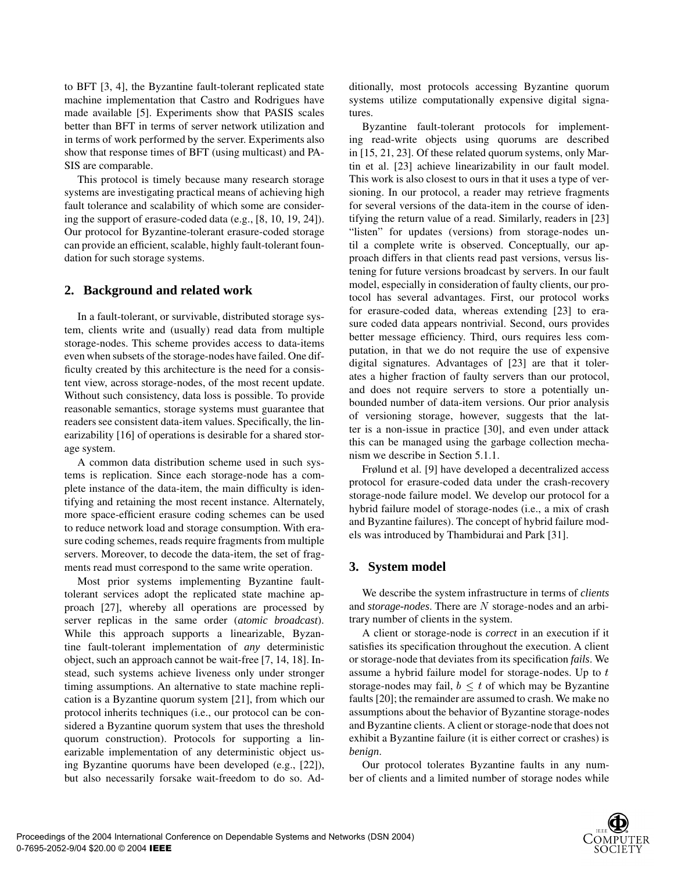to BFT [3, 4], the Byzantine fault-tolerant replicated state machine implementation that Castro and Rodrigues have made available [5]. Experiments show that PASIS scales better than BFT in terms of server network utilization and in terms of work performed by the server. Experiments also show that response times of BFT (using multicast) and PA-SIS are comparable.

This protocol is timely because many research storage systems are investigating practical means of achieving high fault tolerance and scalability of which some are considering the support of erasure-coded data (e.g., [8, 10, 19, 24]). Our protocol for Byzantine-tolerant erasure-coded storage can provide an efficient, scalable, highly fault-tolerant foundation for such storage systems.

# **2. Background and related work**

In a fault-tolerant, or survivable, distributed storage system, clients write and (usually) read data from multiple storage-nodes. This scheme provides access to data-items even when subsets of the storage-nodes have failed. One difficulty created by this architecture is the need for a consistent view, across storage-nodes, of the most recent update. Without such consistency, data loss is possible. To provide reasonable semantics, storage systems must guarantee that readers see consistent data-item values. Specifically, the linearizability [16] of operations is desirable for a shared storage system.

A common data distribution scheme used in such systems is replication. Since each storage-node has a complete instance of the data-item, the main difficulty is identifying and retaining the most recent instance. Alternately, more space-efficient erasure coding schemes can be used to reduce network load and storage consumption. With erasure coding schemes, reads require fragments from multiple servers. Moreover, to decode the data-item, the set of fragments read must correspond to the same write operation.

Most prior systems implementing Byzantine faulttolerant services adopt the replicated state machine approach [27], whereby all operations are processed by server replicas in the same order (*atomic broadcast*). While this approach supports a linearizable, Byzantine fault-tolerant implementation of *any* deterministic object, such an approach cannot be wait-free [7, 14, 18]. Instead, such systems achieve liveness only under stronger timing assumptions. An alternative to state machine replication is a Byzantine quorum system [21], from which our protocol inherits techniques (i.e., our protocol can be considered a Byzantine quorum system that uses the threshold quorum construction). Protocols for supporting a linearizable implementation of any deterministic object using Byzantine quorums have been developed (e.g., [22]), but also necessarily forsake wait-freedom to do so. Additionally, most protocols accessing Byzantine quorum systems utilize computationally expensive digital signatures.

Byzantine fault-tolerant protocols for implementing read-write objects using quorums are described in [15, 21, 23]. Of these related quorum systems, only Martin et al. [23] achieve linearizability in our fault model. This work is also closest to ours in that it uses a type of versioning. In our protocol, a reader may retrieve fragments for several versions of the data-item in the course of identifying the return value of a read. Similarly, readers in [23] "listen" for updates (versions) from storage-nodes until a complete write is observed. Conceptually, our approach differs in that clients read past versions, versus listening for future versions broadcast by servers. In our fault model, especially in consideration of faulty clients, our protocol has several advantages. First, our protocol works for erasure-coded data, whereas extending [23] to erasure coded data appears nontrivial. Second, ours provides better message efficiency. Third, ours requires less computation, in that we do not require the use of expensive digital signatures. Advantages of [23] are that it tolerates a higher fraction of faulty servers than our protocol, and does not require servers to store a potentially unbounded number of data-item versions. Our prior analysis of versioning storage, however, suggests that the latter is a non-issue in practice [30], and even under attack this can be managed using the garbage collection mechanism we describe in Section 5.1.1.

Frølund et al. [9] have developed a decentralized access protocol for erasure-coded data under the crash-recovery storage-node failure model. We develop our protocol for a hybrid failure model of storage-nodes (i.e., a mix of crash and Byzantine failures). The concept of hybrid failure models was introduced by Thambidurai and Park [31].

# **3. System model**

We describe the system infrastructure in terms of *clients* and *storage-nodes*. There are N storage-nodes and an arbitrary number of clients in the system.

A client or storage-node is *correct* in an execution if it satisfies its specification throughout the execution. A client or storage-node that deviates from its specification *fails*. We assume a hybrid failure model for storage-nodes. Up to storage-nodes may fail,  $b \leq t$  of which may be Byzantine faults [20]; the remainder are assumed to crash. We make no assumptions about the behavior of Byzantine storage-nodes and Byzantine clients. A client or storage-node that does not exhibit a Byzantine failure (it is either correct or crashes) is *benign*.

Our protocol tolerates Byzantine faults in any number of clients and a limited number of storage nodes while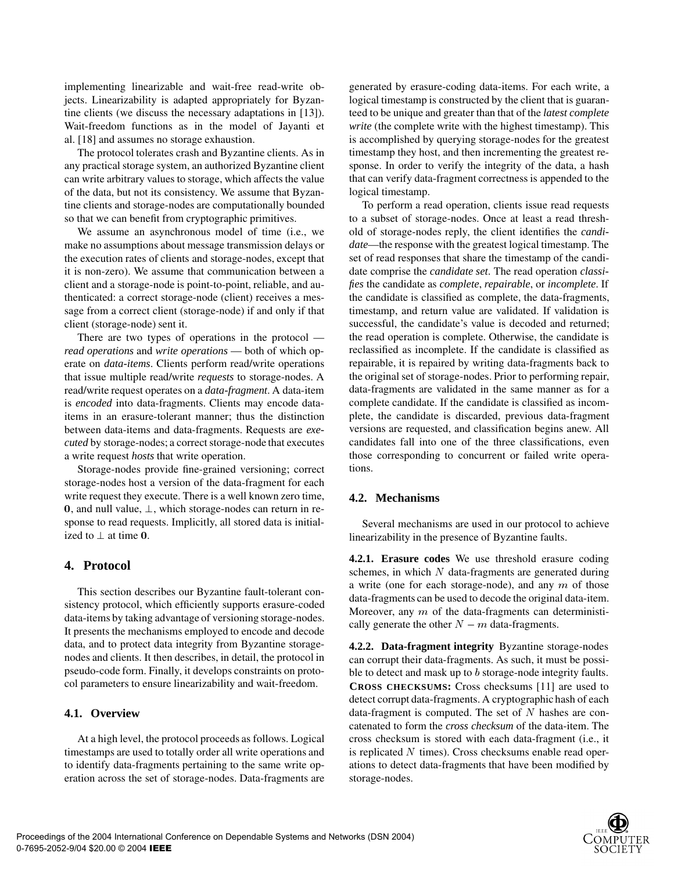implementing linearizable and wait-free read-write objects. Linearizability is adapted appropriately for Byzantine clients (we discuss the necessary adaptations in [13]). Wait-freedom functions as in the model of Jayanti et al. [18] and assumes no storage exhaustion.

The protocol tolerates crash and Byzantine clients. As in any practical storage system, an authorized Byzantine client can write arbitrary values to storage, which affects the value of the data, but not its consistency. We assume that Byzantine clients and storage-nodes are computationally bounded so that we can benefit from cryptographic primitives.

We assume an asynchronous model of time (i.e., we make no assumptions about message transmission delays or the execution rates of clients and storage-nodes, except that it is non-zero). We assume that communication between a client and a storage-node is point-to-point, reliable, and authenticated: a correct storage-node (client) receives a message from a correct client (storage-node) if and only if that client (storage-node) sent it.

There are two types of operations in the protocol *read operations* and *write operations* — both of which operate on *data-items*. Clients perform read/write operations that issue multiple read/write *requests* to storage-nodes. A read/write request operates on a *data-fragment*. A data-item is *encoded* into data-fragments. Clients may encode dataitems in an erasure-tolerant manner; thus the distinction between data-items and data-fragments. Requests are *executed* by storage-nodes; a correct storage-node that executes a write request *hosts* that write operation.

Storage-nodes provide fine-grained versioning; correct storage-nodes host a version of the data-fragment for each write request they execute. There is a well known zero time, 0, and null value,  $\perp$ , which storage-nodes can return in response to read requests. Implicitly, all stored data is initialized to  $\perp$  at time 0.

# **4. Protocol**

This section describes our Byzantine fault-tolerant consistency protocol, which efficiently supports erasure-coded data-items by taking advantage of versioning storage-nodes. It presents the mechanisms employed to encode and decode data, and to protect data integrity from Byzantine storagenodes and clients. It then describes, in detail, the protocol in pseudo-code form. Finally, it develops constraints on protocol parameters to ensure linearizability and wait-freedom.

### **4.1. Overview**

At a high level, the protocol proceeds as follows. Logical timestamps are used to totally order all write operations and to identify data-fragments pertaining to the same write operation across the set of storage-nodes. Data-fragments are

generated by erasure-coding data-items. For each write, a logical timestamp is constructed by the client that is guaranteed to be unique and greater than that of the *latest complete write* (the complete write with the highest timestamp). This is accomplished by querying storage-nodes for the greatest timestamp they host, and then incrementing the greatest response. In order to verify the integrity of the data, a hash that can verify data-fragment correctness is appended to the logical timestamp.

To perform a read operation, clients issue read requests to a subset of storage-nodes. Once at least a read threshold of storage-nodes reply, the client identifies the *candidate*—the response with the greatest logical timestamp. The set of read responses that share the timestamp of the candidate comprise the *candidate set*. The read operation *classifies* the candidate as *complete*, *repairable*, or *incomplete*. If the candidate is classified as complete, the data-fragments, timestamp, and return value are validated. If validation is successful, the candidate's value is decoded and returned; the read operation is complete. Otherwise, the candidate is reclassified as incomplete. If the candidate is classified as repairable, it is repaired by writing data-fragments back to the original set of storage-nodes. Prior to performing repair, data-fragments are validated in the same manner as for a complete candidate. If the candidate is classified as incomplete, the candidate is discarded, previous data-fragment versions are requested, and classification begins anew. All candidates fall into one of the three classifications, even those corresponding to concurrent or failed write operations.

# **4.2. Mechanisms**

Several mechanisms are used in our protocol to achieve linearizability in the presence of Byzantine faults.

**4.2.1. Erasure codes** We use threshold erasure coding schemes, in which  $N$  data-fragments are generated during a write (one for each storage-node), and any  $m$  of those data-fragments can be used to decode the original data-item. Moreover, any  $m$  of the data-fragments can deterministically generate the other  $N - m$  data-fragments.

**4.2.2. Data-fragment integrity** Byzantine storage-nodes can corrupt their data-fragments. As such, it must be possible to detect and mask up to  $b$  storage-node integrity faults. **CROSS CHECKSUMS:** Cross checksums [11] are used to detect corrupt data-fragments. A cryptographic hash of each data-fragment is computed. The set of  $N$  hashes are concatenated to form the *cross checksum* of the data-item. The cross checksum is stored with each data-fragment (i.e., it is replicated  $N$  times). Cross checksums enable read operations to detect data-fragments that have been modified by storage-nodes.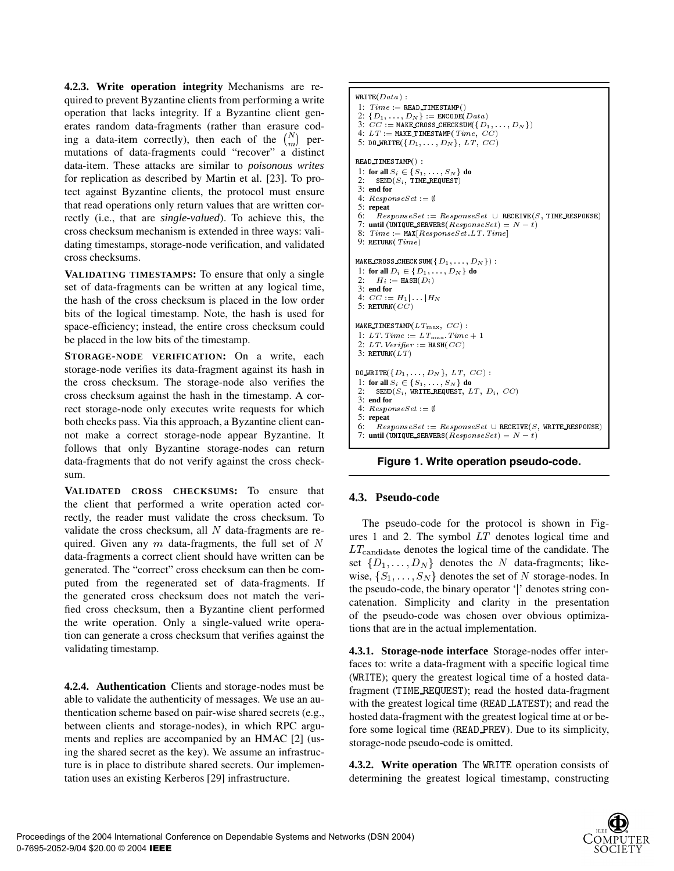**4.2.3. Write operation integrity** Mechanisms are required to prevent Byzantine clients from performing a write operation that lacks integrity. If a Byzantine client generates random data-fragments (rather than erasure coding a data-item correctly), then each of the  $\binom{N}{m}$  permutations of data-fragments could "recover" a distinct data-item. These attacks are similar to *poisonous writes* for replication as described by Martin et al. [23]. To protect against Byzantine clients, the protocol must ensure that read operations only return values that are written correctly (i.e., that are *single-valued*). To achieve this, the cross checksum mechanism is extended in three ways: validating timestamps, storage-node verification, and validated cross checksums.

**VALIDATING TIMESTAMPS:** To ensure that only a single set of data-fragments can be written at any logical time, the hash of the cross checksum is placed in the low order bits of the logical timestamp. Note, the hash is used for space-efficiency; instead, the entire cross checksum could be placed in the low bits of the timestamp.

**STORAGE-NODE VERIFICATION:** On a write, each storage-node verifies its data-fragment against its hash in the cross checksum. The storage-node also verifies the cross checksum against the hash in the timestamp. A correct storage-node only executes write requests for which both checks pass. Via this approach, a Byzantine client cannot make a correct storage-node appear Byzantine. It follows that only Byzantine storage-nodes can return data-fragments that do not verify against the cross checksum.

**VALIDATED CROSS CHECKSUMS:** To ensure that the client that performed a write operation acted correctly, the reader must validate the cross checksum. To validate the cross checksum, all  $N$  data-fragments are required. Given any m data-fragments, the full set of  $N = \frac{arcs}{LT}$ data-fragments a correct client should have written can be generated. The "correct" cross checksum can then be computed from the regenerated set of data-fragments. If the generated cross checksum does not match the verified cross checksum, then a Byzantine client performed the write operation. Only a single-valued write operation can generate a cross checksum that verifies against the validating timestamp.

**4.2.4. Authentication** Clients and storage-nodes must be able to validate the authenticity of messages. We use an authentication scheme based on pair-wise shared secrets (e.g., between clients and storage-nodes), in which RPC arguments and replies are accompanied by an HMAC [2] (using the shared secret as the key). We assume an infrastructure is in place to distribute shared secrets. Our implementation uses an existing Kerberos [29] infrastructure.

```
-
WRITE(Data):
 1: Time := \texttt{READ\_TIMESTA}2: \{D_1, \ldots, D_N\} := \text{ENCODE}(Data)<br>3: CC := \text{MAKE_CROSS_CHECKSUM}(\{D_1, \ldots, D_N\})4: LT := \texttt{MARKENTIMEST} Time, CC\cdots5: DO_WRITE(\{D_1,\ldots,D_N\},\; LT,\;CC) -
	 -
 1: for all S_i \in \{S_1, \ldots, S_N\} do<br>2: SEND(S_i), TIME REQUEST)
3: end for
 4: ResponseSet := \emptyset 
5: repeat
 6: \quad ResponsibleSet \; := \; ResponseSet \; \cup \; \texttt{RECEIVE}(S, \texttt{TIME} \; \texttt{RESPONSE})7: until (UNIQUE_SERVERS(ResponseSet) = N - t)
 8:  -


-

 9: RETURN(\mathit{Time})\ldots . \ldots . \ldots . \ldots . \ldots . \ldots . \ldots . \ldots . \ldots . \ldots . \ldots . \ldots . \ldots . \ldots . \ldots . \ldots . \ldots . \ldots . \ldots . \ldots . \ldots . \ldots . \ldots . \ldots . \ldots . \ldots . \ldots . \ldots1: for all D_i \in \{D_1, \ldots, D_N\} do
 2: H_i := \texttt{HASH}(D_i)3: end for
 4: CC := H_1 | \dots | H_N5: RETURN( CC )
\ldots \ldots \ldots \ldots \ldots \ldots \ldots \ldots \ldots \ldots1: LT. Time := LT_{\text{max}}. Time +12: LT. Verifyer := {\tt HASH}(\mathit{CC})3: RETURN(LT)\mathbf{v} - \mathbf{v} - \mathbf{v} - \mathbf{v} - \mathbf{v} - \mathbf{v} - \mathbf{v} - \mathbf{v} - \mathbf{v} - \mathbf{v} - \mathbf{v} - \mathbf{v} - \mathbf{v} - \mathbf{v} - \mathbf{v} - \mathbf{v} - \mathbf{v} - \mathbf{v} - \mathbf{v} - \mathbf{v} - 1: for all S_i \in \{S_1, \ldots, S_N\} do
 2: SEND(S_i, \texttt{WRITE\_REQUEST}, LT, D_i, CC)3: end for
4: ResponseSet := \emptyset\sim \sim \sim -
                           the contract of the contract of the contract of the contract of the contract of the contract of the contract of
5: repeat
 6: ResponseSet := ResponseSet \cup RECEIVE(S, WRITE\_RESPONSE)7: until (UNIQUE_SERVERS(ResponseSet) = N-t)
```


# **4.3. Pseudo-code**

The pseudo-code for the protocol is shown in Figures 1 and 2. The symbol  $LT$  denotes logical time and  $LT$ <sub>candidate</sub> denotes the logical time of the candidate. The set  $\{D_1, \ldots, D_N\}$  denotes the N data-fragments; likewise,  $\{S_1, \ldots, S_N\}$  denotes the set of N storage-nodes. In the pseudo-code, the binary operator '' denotes string concatenation. Simplicity and clarity in the presentation of the pseudo-code was chosen over obvious optimizations that are in the actual implementation.

**4.3.1. Storage-node interface** Storage-nodes offer interfaces to: write a data-fragment with a specific logical time (WRITE); query the greatest logical time of a hosted datafragment (TIME\_REQUEST); read the hosted data-fragment with the greatest logical time (READ\_LATEST); and read the hosted data-fragment with the greatest logical time at or before some logical time (READ\_PREV). Due to its simplicity, storage-node pseudo-code is omitted.

4.3.2. Write operation The WRITE operation consists of determining the greatest logical timestamp, constructing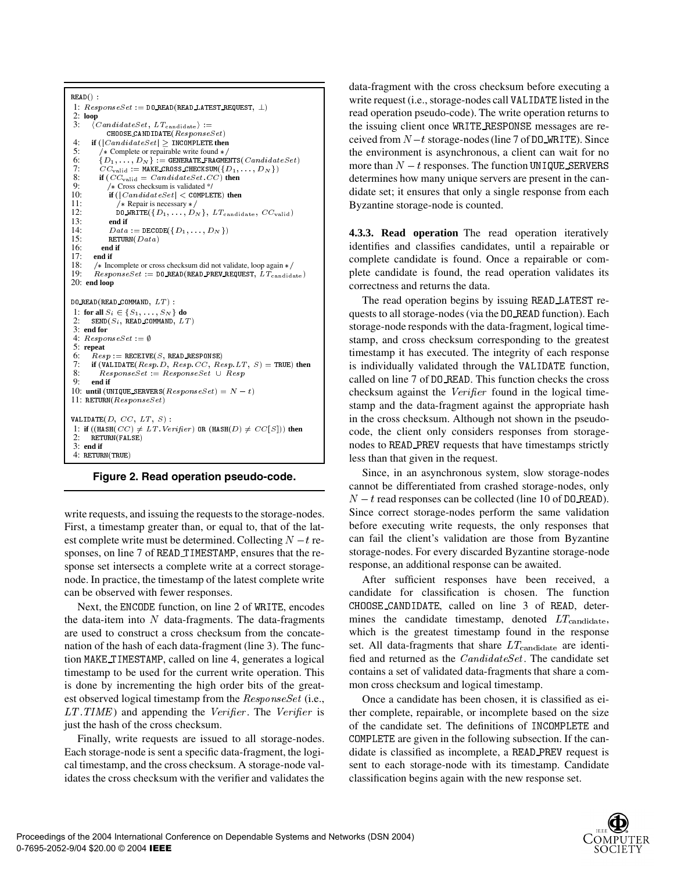```
READ():
 1: ResponseSet := \mathtt{D0\_READ}(\mathtt{READ\_LATEST\_REQUEST}, \bot)2: loop<br>3: (6)3: \langle \text{CandidateSet}, \text{LT}_{ca} \rangleCHOOSE_CAND IDATE (ResponseSet)4: if (|\textit{CandiateSet}| \geq \texttt{INCOMPLETE} then
5: \gamma * Complete or repairable write found */<br>6: \{D_1, \ldots, D_N\} := GENERATE_FRAGME
 6: \{D_1,\ldots,D_N\} := GENERATE_FRAGMENTS( CandidateSet 
 CC_{\text{valid}} := \texttt{MAKE\_CROSS\_CHECKSUM}(\{D_1, \ldots, D_N\})8: if (CC_{valid} = CandidateSet. CC) then
 9: /* Cross checksum is validated */10: if (|\text{Candi}_{\text{ateSet}}| < COMPLETE) then
11: /* Repair is necessary */<br>12: DOWRITE(\{D_1, ..., D_N\}12: DO_WRITE({D_1, \ldots, D_N}, LT_{\text{candidate}}, CC_{\text{valid}})
13: end if
14: Data := \texttt{DECODE}(\{D_1, \ldots, D_N\})15: RETURN(Data)
16: end if
17: end if
18: /* Incomplete or cross checksum did not validate, loop again */<br>19: Reson nseSet := DO READ (READ PREV REQUEST L.T.
19: ResponseSet := D0 \text{ } RED(READ \text{ } PREQUEST, LT_{candidate})20: end loop
  
  -
 1: for all S_i \in \{S_1, \ldots, S_N\} do<br>2: SEND(S_i, READ_COMMAND, LT)
3: end for
 4: ResponseSet := \emptyset5: repeat
 6: Resp := RECEIVE(S, READ\_RESPONS)7: if (\texttt{VALIDATE}(Resp.D, Resp.CC, Resp.LT, S) = \texttt{TRUE}) then
 8: ResponseSet := ResponseSet \cup Resp
9: end if
10: until (UNIQUE_SERVERS(ResponseSet) = N - t)
11: RETURN (ResponseSet)-
     -
1: if ((\texttt{HASH}(CC) \neq LT. Verifyer) \texttt{OR}(HASH(D) \neq CC[S])) then<br>2. RETIIRM(FALSE)
 2: RETURN(FALSE)
3: end if
 4: RETURN(TRUE)
```
#### **Figure 2. Read operation pseudo-code.**

write requests, and issuing the requests to the storage-nodes. First, a timestamp greater than, or equal to, that of the latest complete write must be determined. Collecting  $N - t$  responses, on line 7 of READ\_TIMESTAMP, ensures that the response set intersects a complete write at a correct storagenode. In practice, the timestamp of the latest complete write can be observed with fewer responses.

Next, the ENCODE function, on line 2 of WRITE, encodes the data-item into  $N$  data-fragments. The data-fragments are used to construct a cross checksum from the concatenation of the hash of each data-fragment (line 3). The function MAKE\_TIMESTAMP, called on line 4, generates a logical timestamp to be used for the current write operation. This is done by incrementing the high order bits of the greatest observed logical timestamp from the  $ResponseSet$  (i.e.,  $LT$ . TIME) and appending the *Verifier*. The *Verifier* is just the hash of the cross checksum.

Finally, write requests are issued to all storage-nodes. Each storage-node is sent a specific data-fragment, the logical timestamp, and the cross checksum. A storage-node validates the cross checksum with the verifier and validates the data-fragment with the cross checksum before executing a write request (i.e., storage-nodes call VALIDATE listed in the read operation pseudo-code). The write operation returns to the issuing client once WRITE RESPONSE messages are received from  $N-t$  storage-nodes (line 7 of D0\_WRITE). Since the environment is asynchronous, a client can wait for no more than  $N-t$  responses. The function UNIQUE SERVERS determines how many unique servers are present in the candidate set; it ensures that only a single response from each Byzantine storage-node is counted.

**4.3.3. Read operation** The read operation iteratively identifies and classifies candidates, until a repairable or complete candidate is found. Once a repairable or complete candidate is found, the read operation validates its correctness and returns the data.

The read operation begins by issuing READ LATEST requests to all storage-nodes (via the D0\_READ function). Each storage-node responds with the data-fragment, logical timestamp, and cross checksum corresponding to the greatest timestamp it has executed. The integrity of each response is individually validated through the VALIDATE function, called on line 7 of DO\_READ. This function checks the cross checksum against the Verifier found in the logical timestamp and the data-fragment against the appropriate hash in the cross checksum. Although not shown in the pseudocode, the client only considers responses from storagenodes to READ\_PREV requests that have timestamps strictly less than that given in the request.

Since, in an asynchronous system, slow storage-nodes cannot be differentiated from crashed storage-nodes, only  $N - t$  read responses can be collected (line 10 of D0\_READ). Since correct storage-nodes perform the same validation before executing write requests, the only responses that can fail the client's validation are those from Byzantine storage-nodes. For every discarded Byzantine storage-node response, an additional response can be awaited.

After sufficient responses have been received, a candidate for classification is chosen. The function CHOOSE\_CANDIDATE, called on line 3 of READ, determines the candidate timestamp, denoted  $LT_{\text{candidate}}$ , which is the greatest timestamp found in the response set. All data-fragments that share  $LT_{\text{candidate}}$  are identified and returned as the  $\emph{CandidateSet}$ . The candidate set contains a set of validated data-fragments that share a common cross checksum and logical timestamp.

Once a candidate has been chosen, it is classified as either complete, repairable, or incomplete based on the size of the candidate set. The definitions of INCOMPLETE and COMPLETE are given in the following subsection. If the candidate is classified as incomplete, a READ\_PREV request is sent to each storage-node with its timestamp. Candidate classification begins again with the new response set.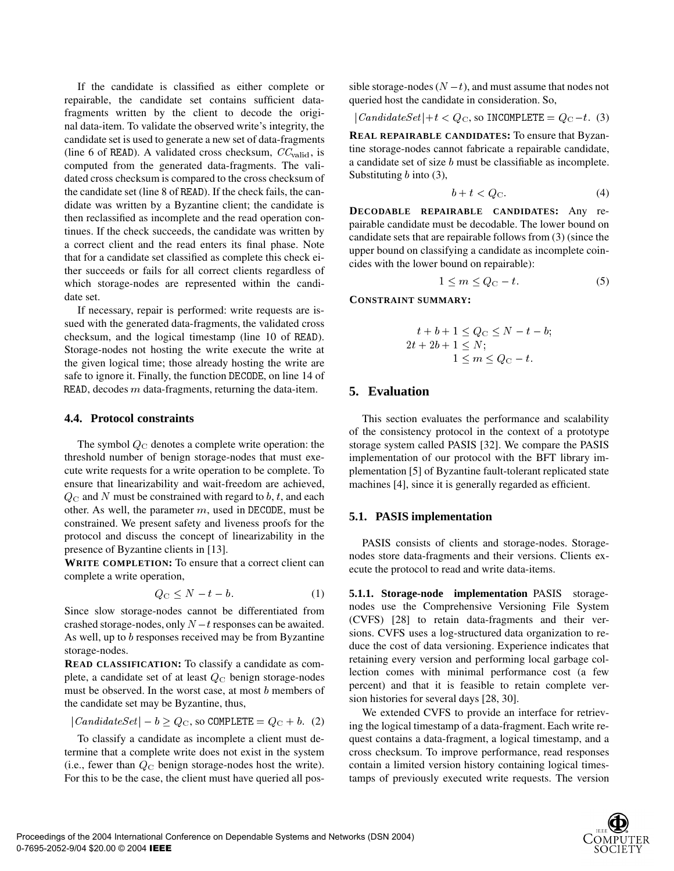If the candidate is classified as either complete or repairable, the candidate set contains sufficient datafragments written by the client to decode the original data-item. To validate the observed write's integrity, the candidate set is used to generate a new set of data-fragments (line 6 of READ). A validated cross checksum,  $CC_{\text{valid}}$ , is computed from the generated data-fragments. The validated cross checksum is compared to the cross checksum of the candidate set (line 8 of READ). If the check fails, the candidate was written by a Byzantine client; the candidate is then reclassified as incomplete and the read operation continues. If the check succeeds, the candidate was written by a correct client and the read enters its final phase. Note that for a candidate set classified as complete this check either succeeds or fails for all correct clients regardless of which storage-nodes are represented within the candidate set.

If necessary, repair is performed: write requests are issued with the generated data-fragments, the validated cross checksum, and the logical timestamp (line 10 of READ). Storage-nodes not hosting the write execute the write at the given logical time; those already hosting the write are safe to ignore it. Finally, the function DECODE, on line 14 of READ, decodes  $m$  data-fragments, returning the data-item.

#### **4.4. Protocol constraints**

The symbol  $Q_C$  denotes a complete write operation: the threshold number of benign storage-nodes that must execute write requests for a write operation to be complete. To ensure that linearizability and wait-freedom are achieved,  $Q_C$  and N must be constrained with regard to b, t, and each other. As well, the parameter  $m$ , used in DECODE, must be constrained. We present safety and liveness proofs for the protocol and discuss the concept of linearizability in the presence of Byzantine clients in [13].

**WRITE COMPLETION:** To ensure that a correct client can complete a write operation,

$$
Q_{\rm C} \le N - t - b. \tag{1}
$$

Since slow storage-nodes cannot be differentiated from crashed storage-nodes, only  $N-t$  responses can be awaited. As well, up to  $b$  responses received may be from Byzantine storage-nodes.

**READ CLASSIFICATION:** To classify a candidate as complete, a candidate set of at least  $Q_C$  benign storage-nodes must be observed. In the worst case, at most  $b$  members of the candidate set may be Byzantine, thus,

$$
|{\textit{CandidateSet}}| - b \ge Q_{\text{C}}, \text{ so } \text{COMPLETE} = Q_{\text{C}} + b. \tag{2}
$$

To classify a candidate as incomplete a client must determine that a complete write does not exist in the system (i.e., fewer than  $Q_C$  benign storage-nodes host the write). For this to be the case, the client must have queried all pos-

sible storage-nodes  $(N - t)$ , and must assume that nodes not queried host the candidate in consideration. So,

$$
|{\it CandidateSet}| + t < Q_{\rm C}, \text{ so INCOMPLETE} = Q_{\rm C} - t. \tag{3}
$$

**REAL REPAIRABLE CANDIDATES:** To ensure that Byzantine storage-nodes cannot fabricate a repairable candidate, a candidate set of size  $b$  must be classifiable as incomplete. Substituting  $b$  into (3),

$$
b + t < Q_{\mathcal{C}}.\tag{4}
$$

**DECODABLE REPAIRABLE CANDIDATES:** Any repairable candidate must be decodable. The lower bound on candidate sets that are repairable follows from (3) (since the upper bound on classifying a candidate as incomplete coincides with the lower bound on repairable):

$$
1 \le m \le Q_{\rm C} - t. \tag{5}
$$

**CONSTRAINT SUMMARY:**

$$
t+b+1 \leq Q_{\mathcal{C}} \leq N-t-b;
$$
  
2t+2b+1 \leq N;  
1 \leq m \leq Q\_{\mathcal{C}}-t.

# **5. Evaluation**

This section evaluates the performance and scalability of the consistency protocol in the context of a prototype storage system called PASIS [32]. We compare the PASIS implementation of our protocol with the BFT library implementation [5] of Byzantine fault-tolerant replicated state machines [4], since it is generally regarded as efficient.

#### **5.1. PASIS implementation**

PASIS consists of clients and storage-nodes. Storagenodes store data-fragments and their versions. Clients execute the protocol to read and write data-items.

**5.1.1. Storage-node implementation** PASIS storagenodes use the Comprehensive Versioning File System (CVFS) [28] to retain data-fragments and their versions. CVFS uses a log-structured data organization to reduce the cost of data versioning. Experience indicates that retaining every version and performing local garbage collection comes with minimal performance cost (a few percent) and that it is feasible to retain complete version histories for several days [28, 30].

We extended CVFS to provide an interface for retrieving the logical timestamp of a data-fragment. Each write request contains a data-fragment, a logical timestamp, and a cross checksum. To improve performance, read responses contain a limited version history containing logical timestamps of previously executed write requests. The version

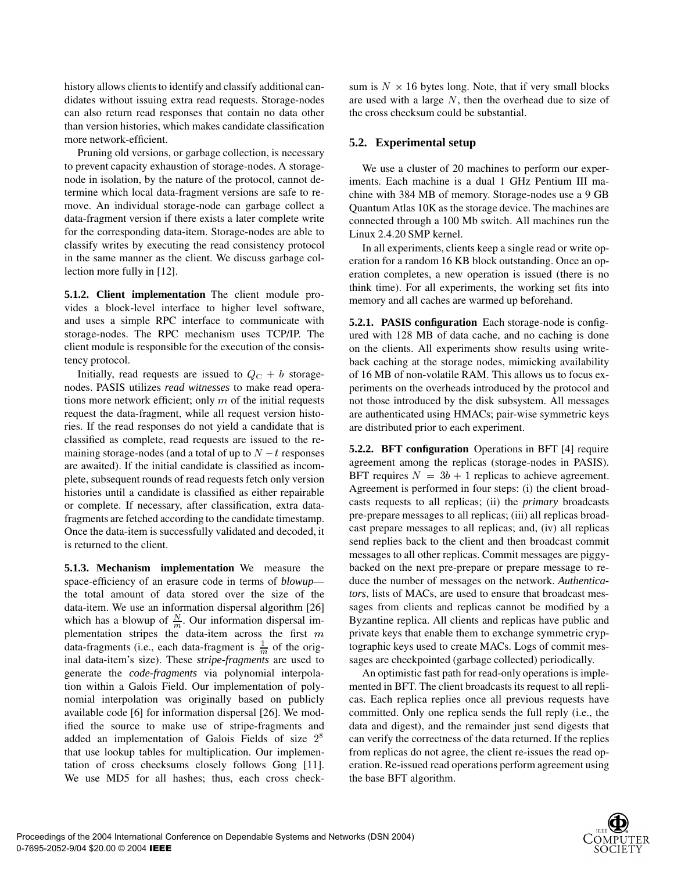history allows clients to identify and classify additional candidates without issuing extra read requests. Storage-nodes can also return read responses that contain no data other than version histories, which makes candidate classification more network-efficient.

Pruning old versions, or garbage collection, is necessary to prevent capacity exhaustion of storage-nodes. A storagenode in isolation, by the nature of the protocol, cannot determine which local data-fragment versions are safe to remove. An individual storage-node can garbage collect a data-fragment version if there exists a later complete write for the corresponding data-item. Storage-nodes are able to classify writes by executing the read consistency protocol in the same manner as the client. We discuss garbage collection more fully in [12].

**5.1.2. Client implementation** The client module provides a block-level interface to higher level software, and uses a simple RPC interface to communicate with storage-nodes. The RPC mechanism uses TCP/IP. The client module is responsible for the execution of the consistency protocol.

Initially, read requests are issued to  $Q_{\text{C}} + b$  storagenodes. PASIS utilizes *read witnesses* to make read operations more network efficient; only  $m$  of the initial requests request the data-fragment, while all request version histories. If the read responses do not yield a candidate that is classified as complete, read requests are issued to the remaining storage-nodes (and a total of up to  $N-t$  responses are awaited). If the initial candidate is classified as incomplete, subsequent rounds of read requests fetch only version histories until a candidate is classified as either repairable or complete. If necessary, after classification, extra datafragments are fetched according to the candidate timestamp. Once the data-item is successfully validated and decoded, it is returned to the client.

**5.1.3. Mechanism implementation** We measure the space-efficiency of an erasure code in terms of *blowup* the total amount of data stored over the size of the data-item. We use an information dispersal algorithm [26] which has a blowup of  $\frac{N}{m}$ . Our information dispersal implementation stripes the data-item across the first  $m$ data-fragments (i.e., each data-fragment is  $\frac{1}{m}$  of the original data-item's size). These *stripe-fragments* are used to generate the *code-fragments* via polynomial interpolation within a Galois Field. Our implementation of polynomial interpolation was originally based on publicly available code [6] for information dispersal [26]. We modified the source to make use of stripe-fragments and added an implementation of Galois Fields of size 2<sup>8</sup> that use lookup tables for multiplication. Our implementation of cross checksums closely follows Gong [11]. We use MD5 for all hashes; thus, each cross check-

sum is  $N \times 16$  bytes long. Note, that if very small blocks are used with a large  $N$ , then the overhead due to size of the cross checksum could be substantial.

### **5.2. Experimental setup**

We use a cluster of 20 machines to perform our experiments. Each machine is a dual 1 GHz Pentium III machine with 384 MB of memory. Storage-nodes use a 9 GB Quantum Atlas 10K as the storage device. The machines are connected through a 100 Mb switch. All machines run the Linux 2.4.20 SMP kernel.

In all experiments, clients keep a single read or write operation for a random 16 KB block outstanding. Once an operation completes, a new operation is issued (there is no think time). For all experiments, the working set fits into memory and all caches are warmed up beforehand.

**5.2.1. PASIS configuration** Each storage-node is configured with 128 MB of data cache, and no caching is done on the clients. All experiments show results using writeback caching at the storage nodes, mimicking availability of 16 MB of non-volatile RAM. This allows us to focus experiments on the overheads introduced by the protocol and not those introduced by the disk subsystem. All messages are authenticated using HMACs; pair-wise symmetric keys are distributed prior to each experiment.

 private keys that enable them to exchange symmetric cryp-**5.2.2. BFT configuration** Operations in BFT [4] require agreement among the replicas (storage-nodes in PASIS). BFT requires  $N = 3b + 1$  replicas to achieve agreement. Agreement is performed in four steps: (i) the client broadcasts requests to all replicas; (ii) the *primary* broadcasts pre-prepare messages to all replicas; (iii) all replicas broadcast prepare messages to all replicas; and, (iv) all replicas send replies back to the client and then broadcast commit messages to all other replicas. Commit messages are piggybacked on the next pre-prepare or prepare message to reduce the number of messages on the network. *Authenticators*, lists of MACs, are used to ensure that broadcast messages from clients and replicas cannot be modified by a Byzantine replica. All clients and replicas have public and tographic keys used to create MACs. Logs of commit messages are checkpointed (garbage collected) periodically.

An optimistic fast path for read-only operations is implemented in BFT. The client broadcasts its request to all replicas. Each replica replies once all previous requests have committed. Only one replica sends the full reply (i.e., the data and digest), and the remainder just send digests that can verify the correctness of the data returned. If the replies from replicas do not agree, the client re-issues the read operation. Re-issued read operations perform agreement using the base BFT algorithm.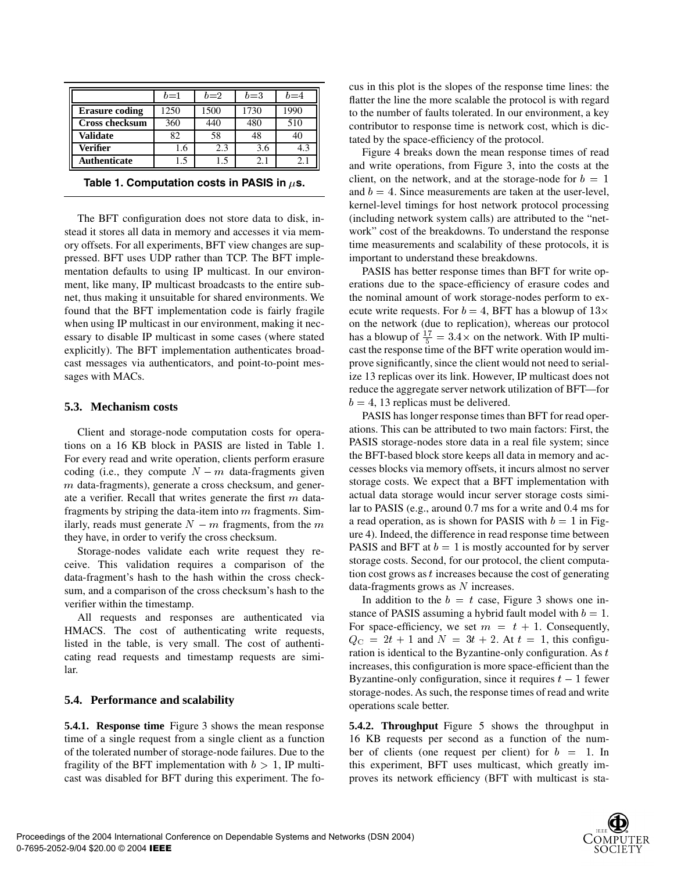|                       | $b=1$ | $b=2$ | $b=3$ | $2 = 4$ |
|-----------------------|-------|-------|-------|---------|
| <b>Erasure coding</b> | 250   | 1500  | 1730  | 1990    |
| <b>Cross checksum</b> | 360   | 440   | 480   | 510     |
| <b>Validate</b>       | 82    | 58    | 48    |         |
| <b>Verifier</b>       | .6    | 2.3   | 3.6   | 4.3     |
| Authenticate          | .5    |       |       | 2.1     |

|  | Table 1. Computation costs in PASIS in $\mu$ s. |  |  |  |
|--|-------------------------------------------------|--|--|--|
|--|-------------------------------------------------|--|--|--|

The BFT configuration does not store data to disk, instead it stores all data in memory and accesses it via memory offsets. For all experiments, BFT view changes are suppressed. BFT uses UDP rather than TCP. The BFT implementation defaults to using IP multicast. In our environment, like many, IP multicast broadcasts to the entire subnet, thus making it unsuitable for shared environments. We found that the BFT implementation code is fairly fragile when using IP multicast in our environment, making it necessary to disable IP multicast in some cases (where stated explicitly). The BFT implementation authenticates broadcast messages via authenticators, and point-to-point messages with MACs.

#### **5.3. Mechanism costs**

Client and storage-node computation costs for operations on a 16 KB block in PASIS are listed in Table 1. For every read and write operation, clients perform erasure coding (i.e., they compute  $N - m$  data-fragments given  $m$  data-fragments), generate a cross checksum, and generate a verifier. Recall that writes generate the first  $m$  datafragments by striping the data-item into  $m$  fragments. Similarly, reads must generate  $N - m$  fragments, from the m they have, in order to verify the cross checksum.

Storage-nodes validate each write request they receive. This validation requires a comparison of the data-fragment's hash to the hash within the cross checksum, and a comparison of the cross checksum's hash to the verifier within the timestamp.

All requests and responses are authenticated via HMACS. The cost of authenticating write requests, listed in the table, is very small. The cost of authenticating read requests and timestamp requests are similar.

#### **5.4. Performance and scalability**

**5.4.1. Response time** Figure 3 shows the mean response time of a single request from a single client as a function of the tolerated number of storage-node failures. Due to the fragility of the BFT implementation with  $b > 1$ , IP multicast was disabled for BFT during this experiment. The focus in this plot is the slopes of the response time lines: the flatter the line the more scalable the protocol is with regard to the number of faults tolerated. In our environment, a key contributor to response time is network cost, which is dictated by the space-efficiency of the protocol.

Figure 4 breaks down the mean response times of read and write operations, from Figure 3, into the costs at the client, on the network, and at the storage-node for  $b = 1$ and  $b = 4$ . Since measurements are taken at the user-level, kernel-level timings for host network protocol processing (including network system calls) are attributed to the "network" cost of the breakdowns. To understand the response time measurements and scalability of these protocols, it is important to understand these breakdowns.

PASIS has better response times than BFT for write operations due to the space-efficiency of erasure codes and the nominal amount of work storage-nodes perform to execute write requests. For  $b = 4$ , BFT has a blowup of  $13 \times$ on the network (due to replication), whereas our protocol has a blowup of  $\frac{17}{5} = 3.4 \times$  on the network. With IP multicast the response time of the BFT write operation would improve significantly, since the client would not need to serialize 13 replicas over its link. However, IP multicast does not reduce the aggregate server network utilization of BFT—for  $b = 4$ , 13 replicas must be delivered.

PASIS has longer response times than BFT for read operations. This can be attributed to two main factors: First, the PASIS storage-nodes store data in a real file system; since the BFT-based block store keeps all data in memory and accesses blocks via memory offsets, it incurs almost no server storage costs. We expect that a BFT implementation with actual data storage would incur server storage costs similar to PASIS (e.g., around 0.7 ms for a write and 0.4 ms for a read operation, as is shown for PASIS with  $b = 1$  in Figure 4). Indeed, the difference in read response time between PASIS and BFT at  $b = 1$  is mostly accounted for by server storage costs. Second, for our protocol, the client computation cost grows as  $t$  increases because the cost of generating data-fragments grows as  $N$  increases.

In addition to the  $b = t$  case, Figure 3 shows one instance of PASIS assuming a hybrid fault model with  $b = 1$ . For space-efficiency, we set  $m = t + 1$ . Consequently,  $Q_{\rm C} = 2t + 1$  and  $N = 3t + 2$ . At  $t = 1$ , this configuration is identical to the Byzantine-only configuration. As  $t$ increases, this configuration is more space-efficient than the Byzantine-only configuration, since it requires  $t-1$  fewer storage-nodes. As such, the response times of read and write operations scale better.

**5.4.2. Throughput** Figure 5 shows the throughput in 16 KB requests per second as a function of the number of clients (one request per client) for  $b = 1$ . In this experiment, BFT uses multicast, which greatly improves its network efficiency (BFT with multicast is sta-

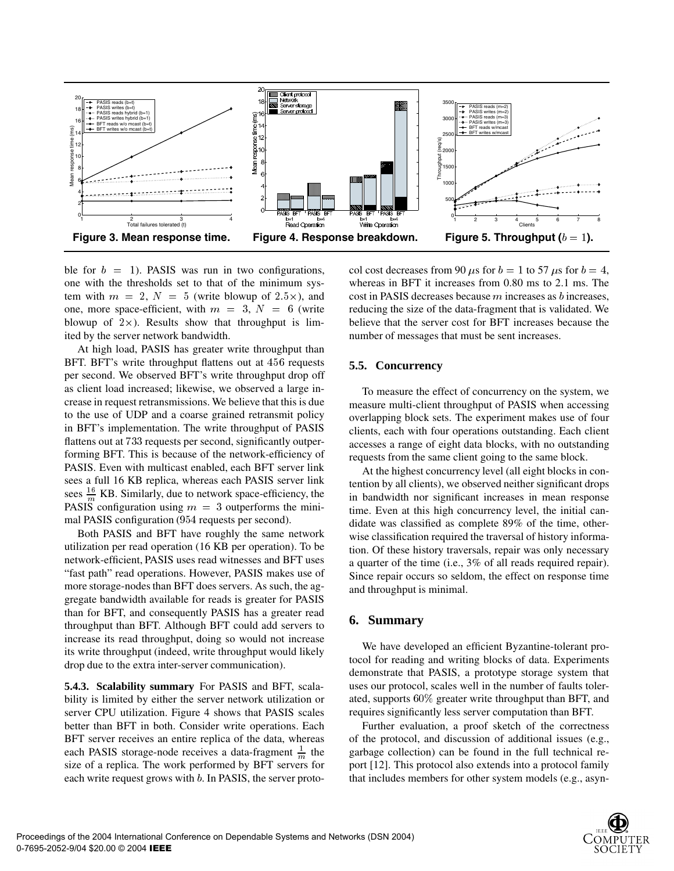

ble for  $b = 1$ ). PASIS was run in two configurations, one with the thresholds set to that of the minimum system with  $m = 2$ ,  $N = 5$  (write blowup of  $2.5 \times$ ), and one, more space-efficient, with  $m = 3$ ,  $N = 6$  (write blowup of  $2 \times$ ). Results show that throughput is limited by the server network bandwidth.

At high load, PASIS has greater write throughput than BFT. BFT's write throughput flattens out at 456 requests per second. We observed BFT's write throughput drop off as client load increased; likewise, we observed a large increase in request retransmissions. We believe that this is due to the use of UDP and a coarse grained retransmit policy in BFT's implementation. The write throughput of PASIS flattens out at 733 requests per second, significantly outperforming BFT. This is because of the network-efficiency of PASIS. Even with multicast enabled, each BFT server link sees a full 16 KB replica, whereas each PASIS server link sees  $\frac{16}{m}$  KB. Similarly, due to network space-efficiency, the PASIS configuration using  $m = 3$  outperforms the minimal PASIS configuration (954 requests per second).

Both PASIS and BFT have roughly the same network utilization per read operation (16 KB per operation). To be network-efficient, PASIS uses read witnesses and BFT uses "fast path" read operations. However, PASIS makes use of more storage-nodes than BFT does servers. As such, the aggregate bandwidth available for reads is greater for PASIS than for BFT, and consequently PASIS has a greater read throughput than BFT. Although BFT could add servers to increase its read throughput, doing so would not increase its write throughput (indeed, write throughput would likely drop due to the extra inter-server communication).

**5.4.3. Scalability summary** For PASIS and BFT, scalability is limited by either the server network utilization or server CPU utilization. Figure 4 shows that PASIS scales better than BFT in both. Consider write operations. Each BFT server receives an entire replica of the data, whereas each PASIS storage-node receives a data-fragment  $\frac{1}{m}$  the size of a replica. The work performed by BFT servers for each write request grows with  $b$ . In PASIS, the server proto-

col cost decreases from 90  $\mu$ s for  $b = 1$  to 57  $\mu$ s for  $b = 4$ , whereas in BFT it increases from 0.80 ms to 2.1 ms. The cost in PASIS decreases because  $m$  increases as  $b$  increases, reducing the size of the data-fragment that is validated. We believe that the server cost for BFT increases because the number of messages that must be sent increases.

#### **5.5. Concurrency**

To measure the effect of concurrency on the system, we measure multi-client throughput of PASIS when accessing overlapping block sets. The experiment makes use of four clients, each with four operations outstanding. Each client accesses a range of eight data blocks, with no outstanding requests from the same client going to the same block.

At the highest concurrency level (all eight blocks in contention by all clients), we observed neither significant drops in bandwidth nor significant increases in mean response time. Even at this high concurrency level, the initial candidate was classified as complete 89% of the time, otherwise classification required the traversal of history information. Of these history traversals, repair was only necessary a quarter of the time (i.e., 3% of all reads required repair). Since repair occurs so seldom, the effect on response time and throughput is minimal.

#### **6. Summary**

We have developed an efficient Byzantine-tolerant protocol for reading and writing blocks of data. Experiments demonstrate that PASIS, a prototype storage system that uses our protocol, scales well in the number of faults tolerated, supports  $60\%$  greater write throughput than BFT, and requires significantly less server computation than BFT.

Further evaluation, a proof sketch of the correctness of the protocol, and discussion of additional issues (e.g., garbage collection) can be found in the full technical report [12]. This protocol also extends into a protocol family that includes members for other system models (e.g., asyn